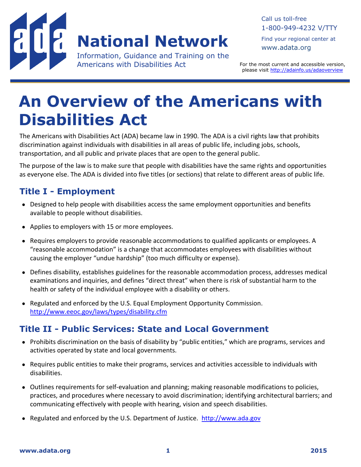

#### Call us toll-free 1-800-949-4232 V/TTY

Find your regional center at [www.adata.org](file://ctds/files/projects/adaktc/KT_Core/ADA_Templates/www.adata.org)

For the most current and accessible version, please visit<http://adainfo.us/adaoverview>

# **An Overview of the Americans with Disabilities Act**

The Americans with Disabilities Act (ADA) became law in 1990. The ADA is a civil rights law that prohibits discrimination against individuals with disabilities in all areas of public life, including jobs, schools, transportation, and all public and private places that are open to the general public.

The purpose of the law is to make sure that people with disabilities have the same rights and opportunities as everyone else. The ADA is divided into five titles (or sections) that relate to different areas of public life.

# **Title I - Employment**

- Designed to help people with disabilities access the same employment opportunities and benefits available to people without disabilities.
- Applies to employers with 15 or more employees.
- Requires employers to provide reasonable accommodations to qualified applicants or employees. A "reasonable accommodation" is a change that accommodates employees with disabilities without causing the employer "undue hardship" (too much difficulty or expense).
- Defines disability, establishes guidelines for the reasonable accommodation process, addresses medical examinations and inquiries, and defines "direct threat" when there is risk of substantial harm to the health or safety of the individual employee with a disability or others.
- Regulated and enforced by the U.S. Equal Employment Opportunity Commission. <http://www.eeoc.gov/laws/types/disability.cfm>

## **Title II - Public Services: State and Local Government**

- Prohibits discrimination on the basis of disability by "public entities," which are programs, services and activities operated by state and local governments.
- Requires public entities to make their programs, services and activities accessible to individuals with disabilities.
- Outlines requirements for self-evaluation and planning; making reasonable modifications to policies, practices, and procedures where necessary to avoid discrimination; identifying architectural barriers; and communicating effectively with people with hearing, vision and speech disabilities.
- Regulated and enforced by the U.S. Department of Justice. [http://www.ada.gov](http://www.ada.gov/)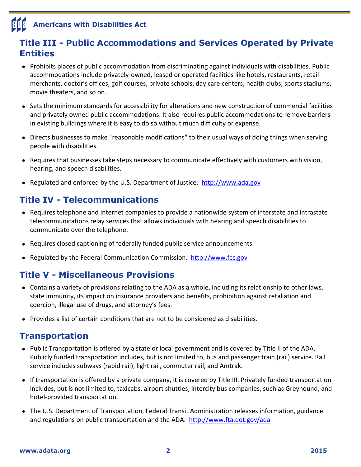# **Americans with Disabilities Act**

## **Title III - Public Accommodations and Services Operated by Private Entities**

- Prohibits places of public accommodation from discriminating against individuals with disabilities. Public accommodations include privately-owned, leased or operated facilities like hotels, restaurants, retail merchants, doctor's offices, golf courses, private schools, day care centers, health clubs, sports stadiums, movie theaters, and so on.
- Sets the minimum standards for accessibility for alterations and new construction of commercial facilities and privately owned public accommodations. It also requires public accommodations to remove barriers in existing buildings where it is easy to do so without much difficulty or expense.
- Directs businesses to make "reasonable modifications" to their usual ways of doing things when serving people with disabilities.
- Requires that businesses take steps necessary to communicate effectively with customers with vision, hearing, and speech disabilities.
- Regulated and enforced by the U.S. Department of Justice. [http://www.ada.gov](http://www.ada.gov/)

## **Title IV - Telecommunications**

- Requires telephone and Internet companies to provide a nationwide system of interstate and intrastate telecommunications relay services that allows individuals with hearing and speech disabilities to communicate over the telephone.
- Requires closed captioning of federally funded public service announcements.
- **Regulated by the Federal Communication Commission. [http://www.fcc.gov](http://www.fcc.gov/)**

#### **Title V - Miscellaneous Provisions**

- Contains a variety of provisions relating to the ADA as a whole, including its relationship to other laws, state immunity, its impact on insurance providers and benefits, prohibition against retaliation and coercion, illegal use of drugs, and attorney's fees.
- $\bullet$  Provides a list of certain conditions that are not to be considered as disabilities.

#### **Transportation**

- Public Transportation is offered by a state or local government and is covered by Title II of the ADA. Publicly funded transportation includes, but is not limited to, bus and passenger train (rail) service. Rail service includes subways (rapid rail), light rail, commuter rail, and Amtrak.
- If transportation is offered by a private company, it is covered by Title III. Privately funded transportation includes, but is not limited to, taxicabs, airport shuttles, intercity bus companies, such as Greyhound, and hotel-provided transportation.
- The U.S. Department of Transportation, Federal Transit Administration releases information, guidance and regulations on public transportation and the ADA. <http://www.fta.dot.gov/ada>